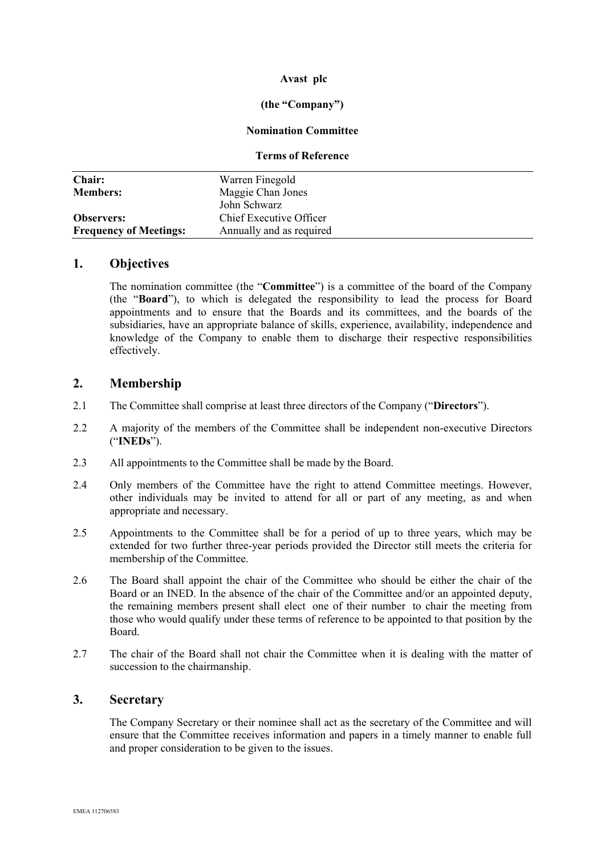### **Avast plc**

#### **(the "Company")**

#### **Nomination Committee**

#### **Terms of Reference**

| <b>Chair:</b>                 | Warren Finegold          |
|-------------------------------|--------------------------|
| <b>Members:</b>               | Maggie Chan Jones        |
|                               | John Schwarz             |
| <b>Observers:</b>             | Chief Executive Officer  |
| <b>Frequency of Meetings:</b> | Annually and as required |

#### **1. Objectives**

The nomination committee (the "**Committee**") is a committee of the board of the Company (the "**Board**"), to which is delegated the responsibility to lead the process for Board appointments and to ensure that the Boards and its committees, and the boards of the subsidiaries, have an appropriate balance of skills, experience, availability, independence and knowledge of the Company to enable them to discharge their respective responsibilities effectively.

## **2. Membership**

- 2.1 The Committee shall comprise at least three directors of the Company ("**Directors**").
- 2.2 A majority of the members of the Committee shall be independent non-executive Directors ("**INEDs**").
- 2.3 All appointments to the Committee shall be made by the Board.
- 2.4 Only members of the Committee have the right to attend Committee meetings. However, other individuals may be invited to attend for all or part of any meeting, as and when appropriate and necessary.
- 2.5 Appointments to the Committee shall be for a period of up to three years, which may be extended for two further three-year periods provided the Director still meets the criteria for membership of the Committee.
- 2.6 The Board shall appoint the chair of the Committee who should be either the chair of the Board or an INED. In the absence of the chair of the Committee and/or an appointed deputy, the remaining members present shall elect one of their number to chair the meeting from those who would qualify under these terms of reference to be appointed to that position by the Board.
- 2.7 The chair of the Board shall not chair the Committee when it is dealing with the matter of succession to the chairmanship.

### **3. Secretary**

The Company Secretary or their nominee shall act as the secretary of the Committee and will ensure that the Committee receives information and papers in a timely manner to enable full and proper consideration to be given to the issues.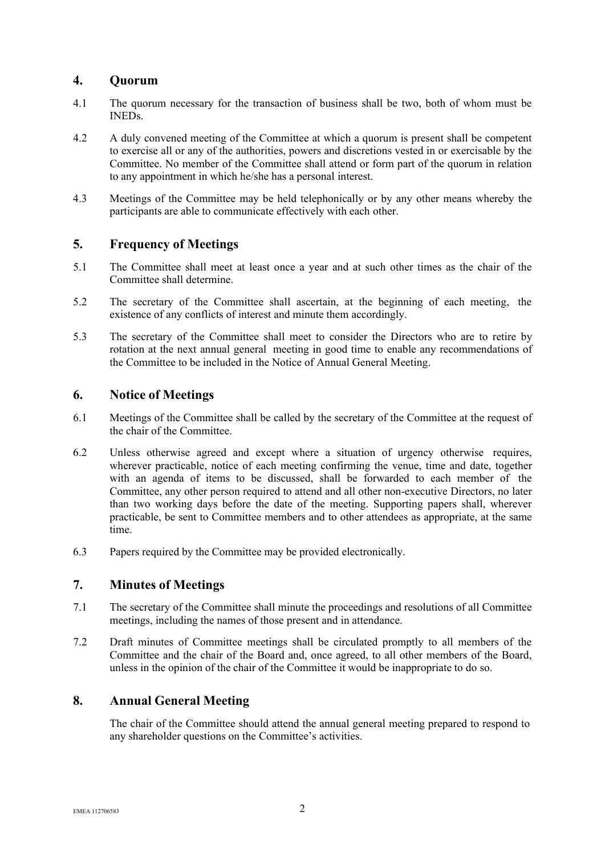## **4. Quorum**

- 4.1 The quorum necessary for the transaction of business shall be two, both of whom must be INEDs.
- 4.2 A duly convened meeting of the Committee at which a quorum is present shall be competent to exercise all or any of the authorities, powers and discretions vested in or exercisable by the Committee. No member of the Committee shall attend or form part of the quorum in relation to any appointment in which he/she has a personal interest.
- 4.3 Meetings of the Committee may be held telephonically or by any other means whereby the participants are able to communicate effectively with each other.

## **5. Frequency of Meetings**

- 5.1 The Committee shall meet at least once a year and at such other times as the chair of the Committee shall determine.
- 5.2 The secretary of the Committee shall ascertain, at the beginning of each meeting, the existence of any conflicts of interest and minute them accordingly.
- 5.3 The secretary of the Committee shall meet to consider the Directors who are to retire by rotation at the next annual general meeting in good time to enable any recommendations of the Committee to be included in the Notice of Annual General Meeting.

### **6. Notice of Meetings**

- 6.1 Meetings of the Committee shall be called by the secretary of the Committee at the request of the chair of the Committee.
- 6.2 Unless otherwise agreed and except where a situation of urgency otherwise requires, wherever practicable, notice of each meeting confirming the venue, time and date, together with an agenda of items to be discussed, shall be forwarded to each member of the Committee, any other person required to attend and all other non-executive Directors, no later than two working days before the date of the meeting. Supporting papers shall, wherever practicable, be sent to Committee members and to other attendees as appropriate, at the same time.
- 6.3 Papers required by the Committee may be provided electronically.

# **7. Minutes of Meetings**

- 7.1 The secretary of the Committee shall minute the proceedings and resolutions of all Committee meetings, including the names of those present and in attendance.
- 7.2 Draft minutes of Committee meetings shall be circulated promptly to all members of the Committee and the chair of the Board and, once agreed, to all other members of the Board, unless in the opinion of the chair of the Committee it would be inappropriate to do so.

# **8. Annual General Meeting**

The chair of the Committee should attend the annual general meeting prepared to respond to any shareholder questions on the Committee's activities.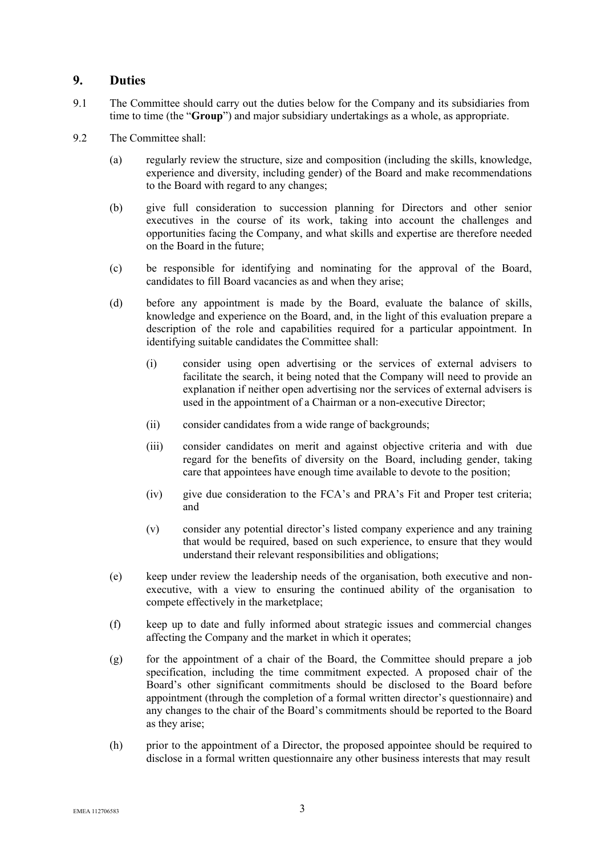### **9. Duties**

- 9.1 The Committee should carry out the duties below for the Company and its subsidiaries from time to time (the "**Group**") and major subsidiary undertakings as a whole, as appropriate.
- 9.2 The Committee shall:
	- (a) regularly review the structure, size and composition (including the skills, knowledge, experience and diversity, including gender) of the Board and make recommendations to the Board with regard to any changes;
	- (b) give full consideration to succession planning for Directors and other senior executives in the course of its work, taking into account the challenges and opportunities facing the Company, and what skills and expertise are therefore needed on the Board in the future;
	- (c) be responsible for identifying and nominating for the approval of the Board, candidates to fill Board vacancies as and when they arise;
	- (d) before any appointment is made by the Board, evaluate the balance of skills, knowledge and experience on the Board, and, in the light of this evaluation prepare a description of the role and capabilities required for a particular appointment. In identifying suitable candidates the Committee shall:
		- (i) consider using open advertising or the services of external advisers to facilitate the search, it being noted that the Company will need to provide an explanation if neither open advertising nor the services of external advisers is used in the appointment of a Chairman or a non-executive Director;
		- (ii) consider candidates from a wide range of backgrounds;
		- (iii) consider candidates on merit and against objective criteria and with due regard for the benefits of diversity on the Board, including gender, taking care that appointees have enough time available to devote to the position;
		- (iv) give due consideration to the FCA's and PRA's Fit and Proper test criteria; and
		- (v) consider any potential director's listed company experience and any training that would be required, based on such experience, to ensure that they would understand their relevant responsibilities and obligations;
	- (e) keep under review the leadership needs of the organisation, both executive and nonexecutive, with a view to ensuring the continued ability of the organisation to compete effectively in the marketplace;
	- (f) keep up to date and fully informed about strategic issues and commercial changes affecting the Company and the market in which it operates;
	- $(g)$  for the appointment of a chair of the Board, the Committee should prepare a job specification, including the time commitment expected. A proposed chair of the Board's other significant commitments should be disclosed to the Board before appointment (through the completion of a formal written director's questionnaire) and any changes to the chair of the Board's commitments should be reported to the Board as they arise;
	- (h) prior to the appointment of a Director, the proposed appointee should be required to disclose in a formal written questionnaire any other business interests that may result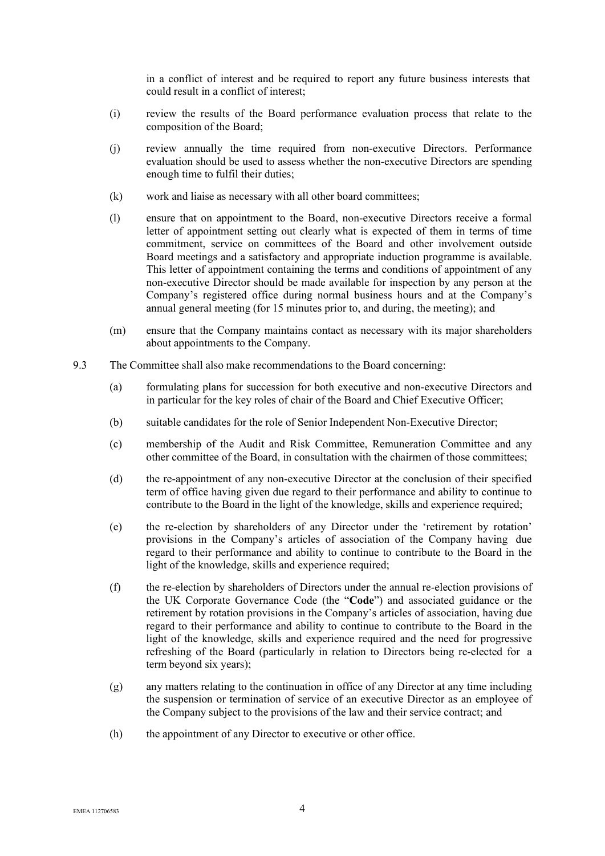in a conflict of interest and be required to report any future business interests that could result in a conflict of interest;

- (i) review the results of the Board performance evaluation process that relate to the composition of the Board;
- (j) review annually the time required from non-executive Directors. Performance evaluation should be used to assess whether the non-executive Directors are spending enough time to fulfil their duties;
- (k) work and liaise as necessary with all other board committees;
- (l) ensure that on appointment to the Board, non-executive Directors receive a formal letter of appointment setting out clearly what is expected of them in terms of time commitment, service on committees of the Board and other involvement outside Board meetings and a satisfactory and appropriate induction programme is available. This letter of appointment containing the terms and conditions of appointment of any non-executive Director should be made available for inspection by any person at the Company's registered office during normal business hours and at the Company's annual general meeting (for 15 minutes prior to, and during, the meeting); and
- (m) ensure that the Company maintains contact as necessary with its major shareholders about appointments to the Company.
- 9.3 The Committee shall also make recommendations to the Board concerning:
	- (a) formulating plans for succession for both executive and non-executive Directors and in particular for the key roles of chair of the Board and Chief Executive Officer;
	- (b) suitable candidates for the role of Senior Independent Non-Executive Director;
	- (c) membership of the Audit and Risk Committee, Remuneration Committee and any other committee of the Board, in consultation with the chairmen of those committees;
	- (d) the re-appointment of any non-executive Director at the conclusion of their specified term of office having given due regard to their performance and ability to continue to contribute to the Board in the light of the knowledge, skills and experience required;
	- (e) the re-election by shareholders of any Director under the 'retirement by rotation' provisions in the Company's articles of association of the Company having due regard to their performance and ability to continue to contribute to the Board in the light of the knowledge, skills and experience required;
	- (f) the re-election by shareholders of Directors under the annual re-election provisions of the UK Corporate Governance Code (the "**Code**") and associated guidance or the retirement by rotation provisions in the Company's articles of association, having due regard to their performance and ability to continue to contribute to the Board in the light of the knowledge, skills and experience required and the need for progressive refreshing of the Board (particularly in relation to Directors being re-elected for a term beyond six years);
	- (g) any matters relating to the continuation in office of any Director at any time including the suspension or termination of service of an executive Director as an employee of the Company subject to the provisions of the law and their service contract; and
	- (h) the appointment of any Director to executive or other office.